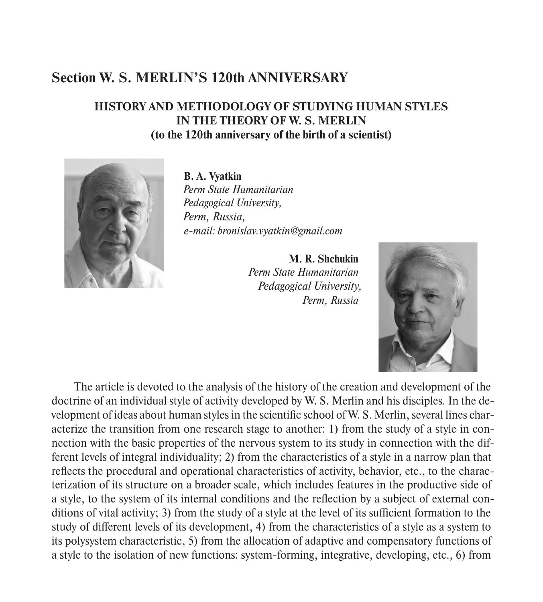## **Section W. S. MERLIN'S 120th ANNIVERSARY**

## **HISTORY AND METHODOLOGY OF STUDYING HUMAN STYLES IN THE THEORY OF W. S. MERLIN (to the 120th anniversary of the birth of a scientist)**



**B. A. Vyatkin** *Perm State Humanitarian Pedagogical University, Perm, Russia, e-mail: bronislav.vyatkin@gmail.com*

> **M. R. Shchukin** *Perm State Humanitarian Pedagogical University, Perm, Russia*



The article is devoted to the analysis of the history of the creation and development of the doctrine of an individual style of activity developed by W. S. Merlin and his disciples. In the development of ideas about human styles in the scientific school of W. S. Merlin, several lines characterize the transition from one research stage to another: 1) from the study of a style in connection with the basic properties of the nervous system to its study in connection with the different levels of integral individuality; 2) from the characteristics of a style in a narrow plan that reflects the procedural and operational characteristics of activity, behavior, etc., to the characterization of its structure on a broader scale, which includes features in the productive side of a style, to the system of its internal conditions and the reflection by a subject of external conditions of vital activity; 3) from the study of a style at the level of its sufficient formation to the study of different levels of its development, 4) from the characteristics of a style as a system to its polysystem characteristic, 5) from the allocation of adaptive and compensatory functions of a style to the isolation of new functions: system-forming, integrative, developing, etc., 6) from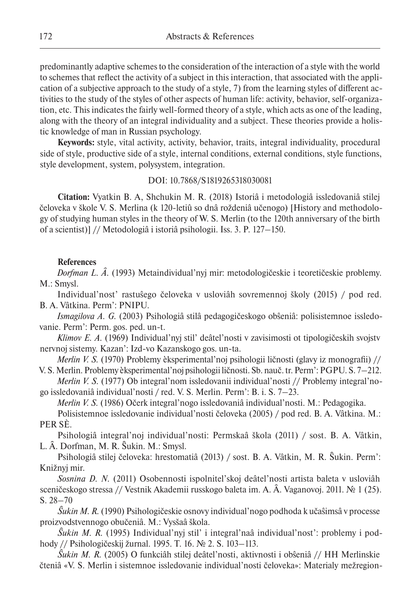predominantly adaptive schemes to the consideration of the interaction of a style with the world to schemes that reflect the activity of a subject in this interaction, that associated with the application of a subjective approach to the study of a style, 7) from the learning styles of different activities to the study of the styles of other aspects of human life: activity, behavior, self-organization, etc. This indicates the fairly well-formed theory of a style, which acts as one of the leading, along with the theory of an integral individuality and a subject. These theories provide a holistic knowledge of man in Russian psychology.

**Keywords:** style, vital activity, activity, behavior, traits, integral individuality, procedural side of style, productive side of a style, internal conditions, external conditions, style functions, style development, system, polysystem, integration.

## DOI: 10.7868/S1819265318030081

**Citation:** Vyatkin B. A, Shchukin M. R. (2018) Istoriâ i metodologiâ issledovaniâ stilej čeloveka v škole V. S. Merlina (k 120-letiû so dnâ roždeniâ učenogo) [History and methodology of studying human styles in the theory of W. S. Merlin (to the 120th anniversary of the birth of a scientist)] // Metodologiâ i istoriâ psihologii. Iss. 3. P. 127–150.

## **References**

*Dorfman L. Â.* (1993) Metaindividual'nyj mir: metodologičeskie i teoretičeskie problemy. M.: Smysl.

Individual'nost' rastuŝego čeloveka v usloviâh sovremennoj školy (2015) / pod red. B. A. Vâtkina. Perm': PNIPU.

*Ismagilova A. G.* (2003) Psihologiâ stilâ pedagogičeskogo obŝeniâ: polisistemnoe issledovanie. Perm': Perm. gos. ped. un-t.

*Klimov E. A.* (1969) Individual'nyj stil' deâtel'nosti v zavisimosti ot tipologičeskih svojstv nervnoj sistemy. Kazan': Izd-vo Kazanskogo gos. un-ta.

*Merlin V. S.* (1970) Problemy èksperimental'noj psihologii ličnosti (glavy iz monografii) // V. S. Merlin. Problemy èksperimental'noj psihologii ličnosti. Sb. nauč. tr. Perm': PGPU. S. 7–212.

*Merlin V. S.* (1977) Ob integral'nom issledovanii individual'nosti // Problemy integral'nogo issledovaniâ individual'nosti / red. V. S. Merlin. Perm': B. i. S. 7–23.

*Merlin V. S.* (1986) Očerk integral'nogo issledovaniâ individual'nosti. M.: Pedagogika.

Polisistemnoe issledovanie individual'nosti čeloveka (2005) / pod red. B. A. Vâtkina. M.: PER SÈ.

Psihologiâ integral'noj individual'nosti: Permskaâ škola (2011) / sost. B. A. Vâtkin, L. Â. Dorfman, M. R. Ŝukin. M.: Smysl.

Psihologiâ stilej čeloveka: hrestomatiâ (2013) / sost. B. A. Vâtkin, M. R. Ŝukin. Perm': Knižnyj mir.

*Sosnina D. N.* (2011) Osobennosti ispolnitel'skoj deâtel'nosti artista baleta v usloviâh sceničeskogo stressa // Vestnik Akademii russkogo baleta im. A. Â. Vaganovoj. 2011. № 1 (25). S. 28–70

*Ŝukin M. R.* (1990) Psihologičeskie osnovy individual'nogo podhoda k učaŝimsâ v processe proizvodstvennogo obučeniâ. M.: Vysšaâ škola.

*Ŝukin M. R.* (1995) Individual'nyj stil' i integral'naâ individual'nost': problemy i podhody // Psihologičeskij žurnal. 1995. T. 16. № 2. S. 103–113.

*Ŝukin M. R.* (2005) O funkciâh stilej deâtel'nosti, aktivnosti i obŝeniâ // HH Merlinskie čteniâ «V. S. Merlin i sistemnoe issledovanie individual'nosti čeloveka»: Materialy mežregion